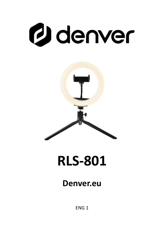# **g** denver



## **RLS-801**

#### **Denver.eu**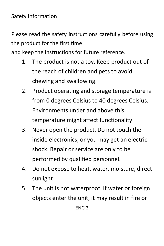#### Safety information

Please read the safety instructions carefully before using the product for the first time

and keep the instructions for future reference.

- 1. The product is not a toy. Keep product out of the reach of children and pets to avoid chewing and swallowing.
- 2. Product operating and storage temperature is from 0 degrees Celsius to 40 degrees Celsius. Environments under and above this temperature might affect functionality.
- 3. Never open the product. Do not touch the inside electronics, or you may get an electric shock. Repair or service are only to be performed by qualified personnel.
- 4. Do not expose to heat, water, moisture, direct sunlight!
- 5. The unit is not waterproof. If water or foreign objects enter the unit, it may result in fire or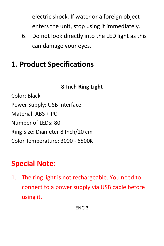electric shock. If water or a foreign object enters the unit, stop using it immediately.

6. Do not look directly into the LED light as this can damage your eyes.

#### **1. Product Specifications**

#### **8-Inch Ring Light**

Color: Black Power Supply: USB Interface Material: ABS + PC Number of LEDs: 80 Ring Size: Diameter 8 Inch/20 cm Color Temperature: 3000 - 6500K

### **Special Note**:

1. The ring light is not rechargeable. You need to connect to a power supply via USB cable before using it.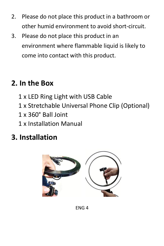- 2. Please do not place this product in a bathroom or other humid environment to avoid short-circuit.
- 3. Please do not place this product in an environment where flammable liquid is likely to come into contact with this product.

#### **2. In the Box**

- 1 x LED Ring Light with USB Cable
- 1 x Stretchable Universal Phone Clip (Optional)
- 1 x 360° BallJoint
- 1 x Installation Manual

#### **3. Installation**

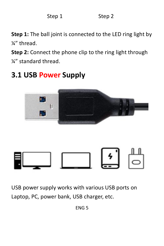Step 1 Step 2

**Step 1:** The ball joint is connected to the LED ring light by ¼" thread.

**Step 2:** Connect the phone clip to the ring light through ¼" standard thread.

#### **3.1 USB Power Supply**



USB power supply works with various USB ports on Laptop, PC, power bank, USB charger, etc.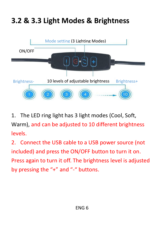### **3.2 & 3.3 Light Modes & Brightness**



1. The LED ring light has 3 light modes (Cool, Soft, Warm), and can be adjusted to 10 different brightness levels.

2. Connect the USB cable to a USB power source (not included) and press the ON/OFF button to turn it on.<br>Press again to turn it off. The brightness level is adjusted by pressing the "+" and "-" buttons.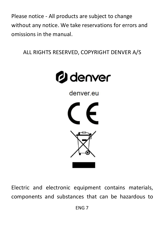Please notice - All products are subject to change without any notice. We take reservations for errors and omissions in the manual.<br>ALL RIGHTS RESERVED, COPYRIGHT DENVER A/S



denver eu





Electric and electronic equipment contains materials, components and substances that can be hazardous to